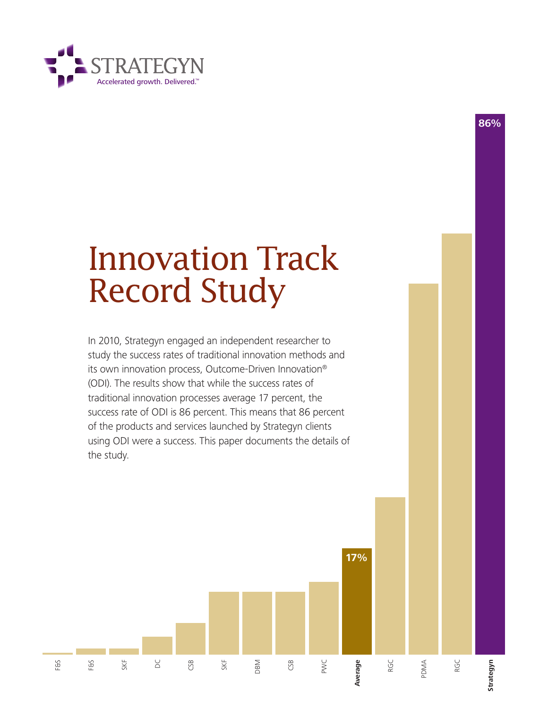

# Innovation Track Record Study

**86%**

In 2010, Strategyn engaged an independent researcher to study the success rates of traditional innovation methods and its own innovation process, Outcome-Driven Innovation® (ODI). The results show that while the success rates of traditional innovation processes average 17 percent, the success rate of ODI is 86 percent. This means that 86 percent of the products and services launched by Strategyn clients using ODI were a success. This paper documents the details of the study.

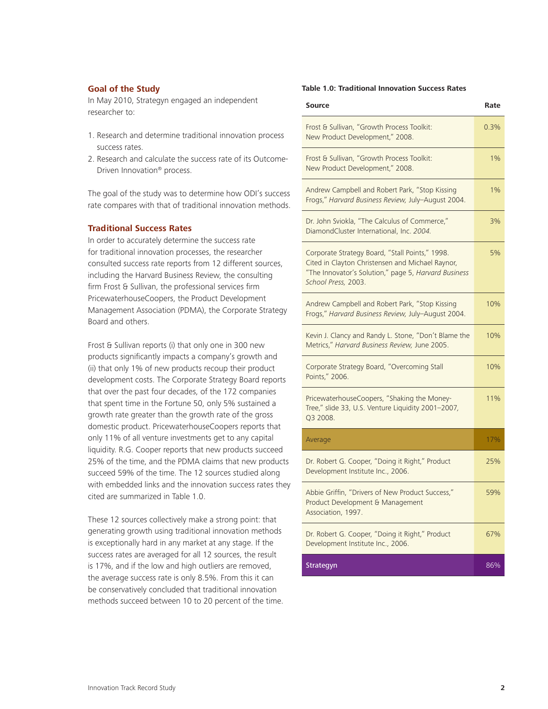## **Goal of the Study**

In May 2010, Strategyn engaged an independent researcher to:

- 1. Research and determine traditional innovation process success rates.
- 2. Research and calculate the success rate of its Outcome-Driven Innovation® process.

The goal of the study was to determine how ODI's success rate compares with that of traditional innovation methods.

## **Traditional Success Rates**

In order to accurately determine the success rate for traditional innovation processes, the researcher consulted success rate reports from 12 different sources, including the Harvard Business Review, the consulting firm Frost & Sullivan, the professional services firm PricewaterhouseCoopers, the Product Development Management Association (PDMA), the Corporate Strategy Board and others.

Frost & Sullivan reports (i) that only one in 300 new products significantly impacts a company's growth and (ii) that only 1% of new products recoup their product development costs. The Corporate Strategy Board reports that over the past four decades, of the 172 companies that spent time in the Fortune 50, only 5% sustained a growth rate greater than the growth rate of the gross domestic product. PricewaterhouseCoopers reports that only 11% of all venture investments get to any capital liquidity. R.G. Cooper reports that new products succeed 25% of the time, and the PDMA claims that new products succeed 59% of the time. The 12 sources studied along with embedded links and the innovation success rates they cited are summarized in Table 1.0.

These 12 sources collectively make a strong point: that generating growth using traditional innovation methods is exceptionally hard in any market at any stage. If the success rates are averaged for all 12 sources, the result is 17%, and if the low and high outliers are removed, the average success rate is only 8.5%. From this it can be conservatively concluded that traditional innovation methods succeed between 10 to 20 percent of the time.

## **Table 1.0: Traditional Innovation Success Rates**

| <b>Source</b>                                                                                                                                                                      | Rate |
|------------------------------------------------------------------------------------------------------------------------------------------------------------------------------------|------|
| Frost & Sullivan, "Growth Process Toolkit:<br>New Product Development," 2008.                                                                                                      | 0.3% |
| Frost & Sullivan, "Growth Process Toolkit:<br>New Product Development," 2008.                                                                                                      | 1%   |
| Andrew Campbell and Robert Park, "Stop Kissing<br>Frogs," Harvard Business Review, July-August 2004.                                                                               | 1%   |
| Dr. John Sviokla, "The Calculus of Commerce,"<br>DiamondCluster International, Inc. 2004.                                                                                          | 3%   |
| Corporate Strategy Board, "Stall Points," 1998.<br>Cited in Clayton Christensen and Michael Raynor,<br>"The Innovator's Solution," page 5, Harvard Business<br>School Press, 2003. | 5%   |
| Andrew Campbell and Robert Park, "Stop Kissing<br>Frogs," Harvard Business Review, July-August 2004.                                                                               | 10%  |
| Kevin J. Clancy and Randy L. Stone, "Don't Blame the<br>Metrics," Harvard Business Review, June 2005.                                                                              | 10%  |
| Corporate Strategy Board, "Overcoming Stall<br>Points," 2006.                                                                                                                      | 10%  |
| PricewaterhouseCoopers, "Shaking the Money-<br>Tree," slide 33, U.S. Venture Liquidity 2001-2007,<br>Q3 2008.                                                                      | 11%  |
| Average                                                                                                                                                                            | 17%  |
| Dr. Robert G. Cooper, "Doing it Right," Product<br>Development Institute Inc., 2006.                                                                                               | 25%  |
| Abbie Griffin, "Drivers of New Product Success,"<br>Product Development & Management<br>Association, 1997.                                                                         | 59%  |
| Dr. Robert G. Cooper, "Doing it Right," Product<br>Development Institute Inc., 2006.                                                                                               | 67%  |
| Strategyn                                                                                                                                                                          | 86%  |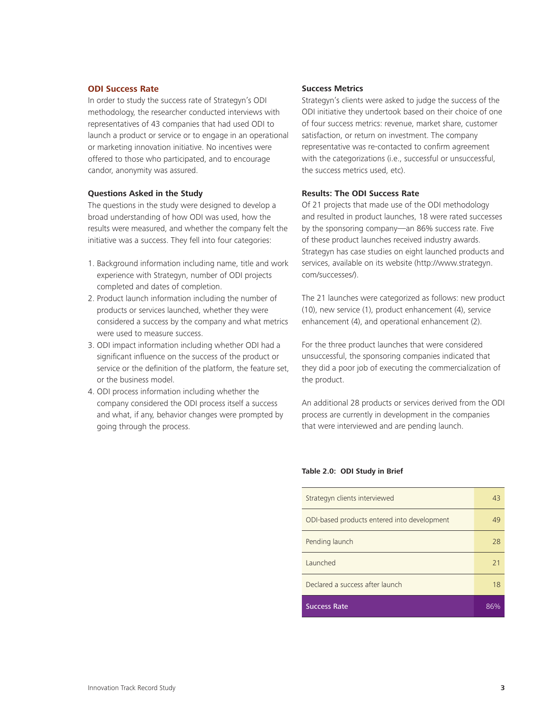## **ODI Success Rate**

In order to study the success rate of Strategyn's ODI methodology, the researcher conducted interviews with representatives of 43 companies that had used ODI to launch a product or service or to engage in an operational or marketing innovation initiative. No incentives were offered to those who participated, and to encourage candor, anonymity was assured.

#### **Questions Asked in the Study**

The questions in the study were designed to develop a broad understanding of how ODI was used, how the results were measured, and whether the company felt the initiative was a success. They fell into four categories:

- 1. Background information including name, title and work experience with Strategyn, number of ODI projects completed and dates of completion.
- 2. Product launch information including the number of products or services launched, whether they were considered a success by the company and what metrics were used to measure success.
- 3. ODI impact information including whether ODI had a significant influence on the success of the product or service or the definition of the platform, the feature set, or the business model.
- 4. ODI process information including whether the company considered the ODI process itself a success and what, if any, behavior changes were prompted by going through the process.

## **Success Metrics**

Strategyn's clients were asked to judge the success of the ODI initiative they undertook based on their choice of one of four success metrics: revenue, market share, customer satisfaction, or return on investment. The company representative was re-contacted to confirm agreement with the categorizations (i.e., successful or unsuccessful, the success metrics used, etc).

## **Results: The ODI Success Rate**

Of 21 projects that made use of the ODI methodology and resulted in product launches, 18 were rated successes by the sponsoring company—an 86% success rate. Five of these product launches received industry awards. Strategyn has case studies on eight launched products and services, available on its website (http://www.strategyn. com/successes/).

The 21 launches were categorized as follows: new product (10), new service (1), product enhancement (4), service enhancement (4), and operational enhancement (2).

For the three product launches that were considered unsuccessful, the sponsoring companies indicated that they did a poor job of executing the commercialization of the product.

An additional 28 products or services derived from the ODI process are currently in development in the companies that were interviewed and are pending launch.

## **Table 2.0: ODI Study in Brief**

| Strategyn clients interviewed               | 43 |
|---------------------------------------------|----|
| ODI-based products entered into development | 49 |
| Pending launch                              | 28 |
| Launched                                    | 21 |
| Declared a success after launch             | 18 |
| <b>Success Rate</b>                         |    |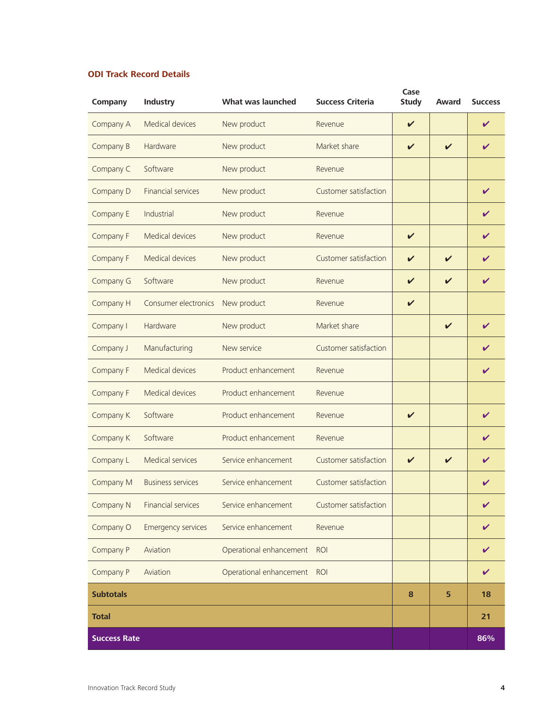# **ODI Track Record Details**

| Company             | <b>Industry</b>           | What was launched       | <b>Success Criteria</b> | Case<br><b>Study</b>       | Award                      | <b>Success</b> |
|---------------------|---------------------------|-------------------------|-------------------------|----------------------------|----------------------------|----------------|
| Company A           | Medical devices           | New product             | Revenue                 | $\checkmark$               |                            | V              |
| Company B           | Hardware                  | New product             | Market share            | $\boldsymbol{\mathcal{U}}$ | $\boldsymbol{\mathcal{U}}$ | $\checkmark$   |
| Company C           | Software                  | New product             | Revenue                 |                            |                            |                |
| Company D           | <b>Financial services</b> | New product             | Customer satisfaction   |                            |                            | V              |
| Company E           | Industrial                | New product             | Revenue                 |                            |                            | V              |
| Company F           | Medical devices           | New product             | Revenue                 | $\boldsymbol{\nu}$         |                            | V              |
| Company F           | <b>Medical devices</b>    | New product             | Customer satisfaction   | V                          | $\boldsymbol{\nu}$         | V              |
| Company G           | Software                  | New product             | Revenue                 | $\mathbf{v}$               | $\checkmark$               | V              |
| Company H           | Consumer electronics      | New product             | Revenue                 | $\checkmark$               |                            |                |
| Company I           | Hardware                  | New product             | Market share            |                            | $\checkmark$               | V              |
| Company J           | Manufacturing             | New service             | Customer satisfaction   |                            |                            | V              |
| Company F           | Medical devices           | Product enhancement     | Revenue                 |                            |                            | V              |
| Company F           | Medical devices           | Product enhancement     | Revenue                 |                            |                            |                |
| Company K           | Software                  | Product enhancement     | Revenue                 | $\checkmark$               |                            | V              |
| Company K           | Software                  | Product enhancement     | Revenue                 |                            |                            | ✓              |
| Company L           | Medical services          | Service enhancement     | Customer satisfaction   | ✓                          | $\boldsymbol{\nu}$         | V              |
| Company M           | <b>Business services</b>  | Service enhancement     | Customer satisfaction   |                            |                            | V              |
| Company N           | <b>Financial services</b> | Service enhancement     | Customer satisfaction   |                            |                            | ✓              |
| Company O           | <b>Emergency services</b> | Service enhancement     | Revenue                 |                            |                            | ✓              |
| Company P           | Aviation                  | Operational enhancement | <b>ROI</b>              |                            |                            | $\checkmark$   |
| Company P           | Aviation                  | Operational enhancement | <b>ROI</b>              |                            |                            | $\checkmark$   |
| <b>Subtotals</b>    |                           |                         |                         | 8                          | 5                          | 18             |
| <b>Total</b>        |                           |                         |                         |                            |                            | 21             |
| <b>Success Rate</b> |                           |                         |                         |                            |                            | 86%            |